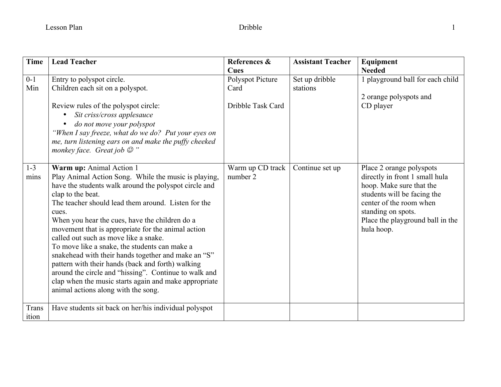| <b>Time</b>     | <b>Lead Teacher</b>                                                                                                                                                                                                                                                                                                                                                                                                                                                                                                                                                                                                                                                                                   | References &<br>Cues                          | <b>Assistant Teacher</b>   | Equipment<br><b>Needed</b>                                                                                                                                                                                               |
|-----------------|-------------------------------------------------------------------------------------------------------------------------------------------------------------------------------------------------------------------------------------------------------------------------------------------------------------------------------------------------------------------------------------------------------------------------------------------------------------------------------------------------------------------------------------------------------------------------------------------------------------------------------------------------------------------------------------------------------|-----------------------------------------------|----------------------------|--------------------------------------------------------------------------------------------------------------------------------------------------------------------------------------------------------------------------|
| $0 - 1$<br>Min  | Entry to polyspot circle.<br>Children each sit on a polyspot.<br>Review rules of the polyspot circle:<br>Sit criss/cross applesauce<br>do not move your polyspot<br>"When I say freeze, what do we do? Put your eyes on<br>me, turn listening ears on and make the puffy cheeked<br>monkey face. Great job $\mathcal{D}$ "                                                                                                                                                                                                                                                                                                                                                                            | Polyspot Picture<br>Card<br>Dribble Task Card | Set up dribble<br>stations | 1 playground ball for each child<br>2 orange polyspots and<br>CD player                                                                                                                                                  |
| $1 - 3$<br>mins | Warm up: Animal Action 1<br>Play Animal Action Song. While the music is playing,<br>have the students walk around the polyspot circle and<br>clap to the beat.<br>The teacher should lead them around. Listen for the<br>cues.<br>When you hear the cues, have the children do a<br>movement that is appropriate for the animal action<br>called out such as move like a snake.<br>To move like a snake, the students can make a<br>snakehead with their hands together and make an "S"<br>pattern with their hands (back and forth) walking<br>around the circle and "hissing". Continue to walk and<br>clap when the music starts again and make appropriate<br>animal actions along with the song. | Warm up CD track<br>number 2                  | Continue set up            | Place 2 orange polyspots<br>directly in front 1 small hula<br>hoop. Make sure that the<br>students will be facing the<br>center of the room when<br>standing on spots.<br>Place the playground ball in the<br>hula hoop. |
| Trans<br>ition  | Have students sit back on her/his individual polyspot                                                                                                                                                                                                                                                                                                                                                                                                                                                                                                                                                                                                                                                 |                                               |                            |                                                                                                                                                                                                                          |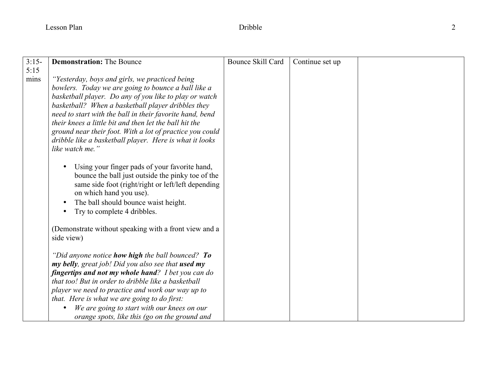| $3:15-$      | <b>Demonstration: The Bounce</b>                                                                                                                                                                                                                                                                                                                                                                                                                                                      | Bounce Skill Card |                 |  |
|--------------|---------------------------------------------------------------------------------------------------------------------------------------------------------------------------------------------------------------------------------------------------------------------------------------------------------------------------------------------------------------------------------------------------------------------------------------------------------------------------------------|-------------------|-----------------|--|
|              |                                                                                                                                                                                                                                                                                                                                                                                                                                                                                       |                   | Continue set up |  |
| 5:15<br>mins | "Yesterday, boys and girls, we practiced being<br>bowlers. Today we are going to bounce a ball like a<br>basketball player. Do any of you like to play or watch<br>basketball? When a basketball player dribbles they<br>need to start with the ball in their favorite hand, bend<br>their knees a little bit and then let the ball hit the<br>ground near their foot. With a lot of practice you could<br>dribble like a basketball player. Here is what it looks<br>like watch me.' |                   |                 |  |
|              | Using your finger pads of your favorite hand,<br>bounce the ball just outside the pinky toe of the<br>same side foot (right/right or left/left depending<br>on which hand you use).<br>The ball should bounce waist height.<br>Try to complete 4 dribbles.                                                                                                                                                                                                                            |                   |                 |  |
|              | (Demonstrate without speaking with a front view and a<br>side view)                                                                                                                                                                                                                                                                                                                                                                                                                   |                   |                 |  |
|              | "Did anyone notice how high the ball bounced? To<br>my belly, great job! Did you also see that used my<br>fingertips and not my whole hand? I bet you can do<br>that too! But in order to dribble like a basketball<br>player we need to practice and work our way up to<br>that. Here is what we are going to do first:<br>We are going to start with our knees on our<br>orange spots, like this (go on the ground and                                                              |                   |                 |  |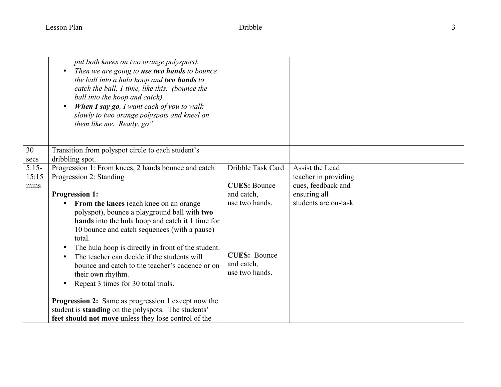|                          | put both knees on two orange polyspots).<br>Then we are going to use two hands to bounce<br>the ball into a hula hoop and two hands to<br>catch the ball, 1 time, like this. (bounce the<br>ball into the hoop and catch).<br><b>When I say go</b> , I want each of you to walk<br>slowly to two orange polyspots and kneel on<br>them like me. Ready, go"                                                                                                                                                                                                                                                                                                                                                              |                                                                                                                                 |                                                                                                       |  |
|--------------------------|-------------------------------------------------------------------------------------------------------------------------------------------------------------------------------------------------------------------------------------------------------------------------------------------------------------------------------------------------------------------------------------------------------------------------------------------------------------------------------------------------------------------------------------------------------------------------------------------------------------------------------------------------------------------------------------------------------------------------|---------------------------------------------------------------------------------------------------------------------------------|-------------------------------------------------------------------------------------------------------|--|
| 30<br>secs               | Transition from polyspot circle to each student's<br>dribbling spot.                                                                                                                                                                                                                                                                                                                                                                                                                                                                                                                                                                                                                                                    |                                                                                                                                 |                                                                                                       |  |
| $5:15-$<br>15:15<br>mins | Progression 1: From knees, 2 hands bounce and catch<br>Progression 2: Standing<br><b>Progression 1:</b><br>From the knees (each knee on an orange<br>polyspot), bounce a playground ball with two<br>hands into the hula hoop and catch it 1 time for<br>10 bounce and catch sequences (with a pause)<br>total.<br>The hula hoop is directly in front of the student.<br>The teacher can decide if the students will<br>bounce and catch to the teacher's cadence or on<br>their own rhythm.<br>Repeat 3 times for 30 total trials.<br><b>Progression 2:</b> Same as progression 1 except now the<br>student is <b>standing</b> on the polyspots. The students'<br>feet should not move unless they lose control of the | Dribble Task Card<br><b>CUES: Bounce</b><br>and catch,<br>use two hands.<br><b>CUES: Bounce</b><br>and catch,<br>use two hands. | Assist the Lead<br>teacher in providing<br>cues, feedback and<br>ensuring all<br>students are on-task |  |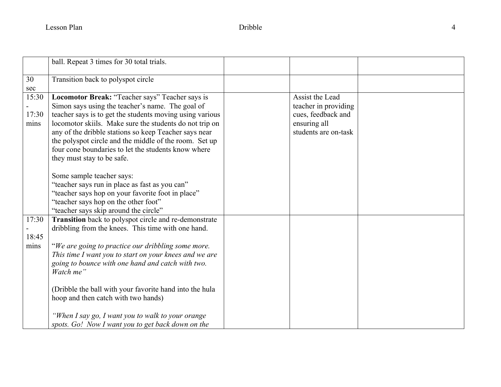|       | ball. Repeat 3 times for 30 total trials.                |                      |  |
|-------|----------------------------------------------------------|----------------------|--|
|       |                                                          |                      |  |
| 30    | Transition back to polyspot circle                       |                      |  |
| sec   |                                                          |                      |  |
| 15:30 | Locomotor Break: "Teacher says" Teacher says is          | Assist the Lead      |  |
|       | Simon says using the teacher's name. The goal of         | teacher in providing |  |
| 17:30 | teacher says is to get the students moving using various | cues, feedback and   |  |
| mins  | locomotor skiils. Make sure the students do not trip on  | ensuring all         |  |
|       | any of the dribble stations so keep Teacher says near    | students are on-task |  |
|       |                                                          |                      |  |
|       | the polyspot circle and the middle of the room. Set up   |                      |  |
|       | four cone boundaries to let the students know where      |                      |  |
|       | they must stay to be safe.                               |                      |  |
|       |                                                          |                      |  |
|       | Some sample teacher says:                                |                      |  |
|       | "teacher says run in place as fast as you can"           |                      |  |
|       | "teacher says hop on your favorite foot in place"        |                      |  |
|       | "teacher says hop on the other foot"                     |                      |  |
|       | "teacher says skip around the circle"                    |                      |  |
| 17:30 | Transition back to polyspot circle and re-demonstrate    |                      |  |
|       | dribbling from the knees. This time with one hand.       |                      |  |
| 18:45 |                                                          |                      |  |
| mins  | "We are going to practice our dribbling some more.       |                      |  |
|       | This time I want you to start on your knees and we are   |                      |  |
|       |                                                          |                      |  |
|       | going to bounce with one hand and catch with two.        |                      |  |
|       | Watch me"                                                |                      |  |
|       |                                                          |                      |  |
|       | (Dribble the ball with your favorite hand into the hula  |                      |  |
|       | hoop and then catch with two hands)                      |                      |  |
|       |                                                          |                      |  |
|       | "When I say go, I want you to walk to your orange        |                      |  |
|       | spots. Go! Now I want you to get back down on the        |                      |  |